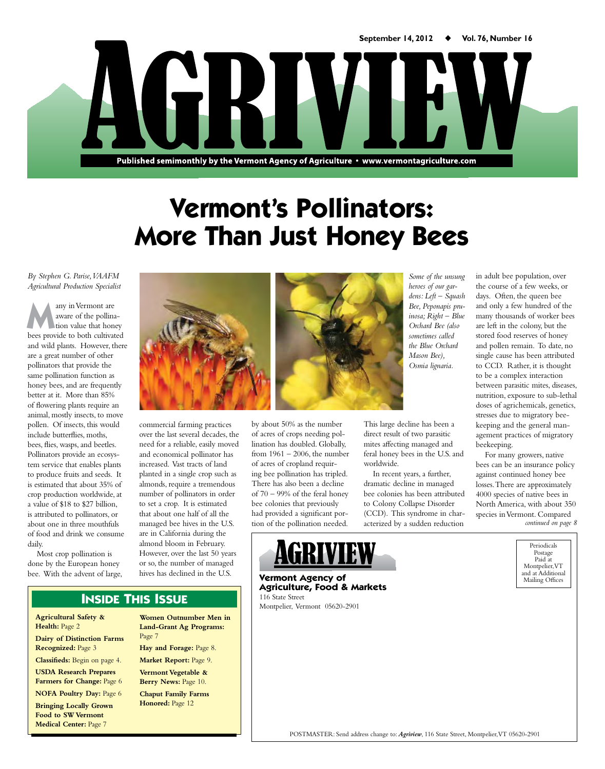Published semimonthly by the Vermont Agency of Agriculture · www.vermontagriculture.com

NE RIV

# **Vermont's Pollinators: More Than Just Honey Bees**

*By Stephen G. Parise, VAAFM Agricultural Production Specialist*

any in Vermont are aware of the pollination value that honey bees provide to both cultivated and wild plants. However, there are a great number of other pollinators that provide the same pollination function as honey bees, and are frequently better at it. More than 85% of flowering plants require an animal, mostly insects, to move pollen. Of insects, this would include butterflies, moths, bees, flies, wasps, and beetles. Pollinators provide an ecosystem service that enables plants to produce fruits and seeds. It is estimated that about 35% of crop production worldwide, at a value of \$18 to \$27 billion, is attributed to pollinators, or about one in three mouthfuls of food and drink we consume daily.

Most crop pollination is done by the European honey bee. With the advent of large,



commercial farming practices over the last several decades, the need for a reliable, easily moved and economical pollinator has increased. Vast tracts of land planted in a single crop such as almonds, require a tremendous number of pollinators in order to set a crop. It is estimated that about one half of all the managed bee hives in the U.S. are in California during the almond bloom in February. However, over the last 50 years or so, the number of managed hives has declined in the U.S.



by about 50% as the number of acres of crops needing pollination has doubled. Globally, from 1961 – 2006, the number of acres of cropland requiring bee pollination has tripled. There has also been a decline of 70 – 99% of the feral honey bee colonies that previously had provided a significant portion of the pollination needed.

*Some of the unsung heroes of our gardens: Left – Squash Bee, Peponapis pruinosa; Right – Blue Orchard Bee (also sometimes called the Blue Orchard Mason Bee), Osmia lignaria.*

This large decline has been a direct result of two parasitic mites affecting managed and feral honey bees in the U.S. and worldwide.

In recent years, a further, dramatic decline in managed bee colonies has been attributed to Colony Collapse Disorder (CCD). This syndrome in characterized by a sudden reduction

in adult bee population, over the course of a few weeks, or days. Often, the queen bee and only a few hundred of the many thousands of worker bees are left in the colony, but the stored food reserves of honey and pollen remain. To date, no single cause has been attributed to CCD. Rather, it is thought to be a complex interaction between parasitic mites, diseases, nutrition, exposure to sub-lethal doses of agrichemicals, genetics, stresses due to migratory beekeeping and the general management practices of migratory beekeeping.

*continued on page 8* For many growers, native bees can be an insurance policy against continued honey bee losses. There are approximately 4000 species of native bees in North America, with about 350 species in Vermont. Compared

> Periodicals Postage Paid at Montpelier, VT and at Additional Mailing Offices

#### **Vermont Agency of Agriculture, Food & Markets** 116 State Street

Montpelier, Vermont 05620-2901



**Agricultural Safety & Health:** Page 2 **Dairy of Distinction Farms Recognized:** Page 3

**Classifieds:** Begin on page 4. **USDA Research Prepares Farmers for Change:** Page 6

**NOFA Poultry Day:** Page 6

**Bringing Locally Grown Food to SW Vermont Medical Center:** Page 7

**Land-Grant Ag Programs:**  Page 7 **Hay and Forage:** Page 8. **Market Report:** Page 9. **Vermont Vegetable &**  Berry News: Page 10. **Chaput Family Farms Honored:** Page 12

**Women Outnumber Men in** 

POSTMASTER: Send address change to: *Agriview*, 116 State Street, Montpelier, VT 05620-2901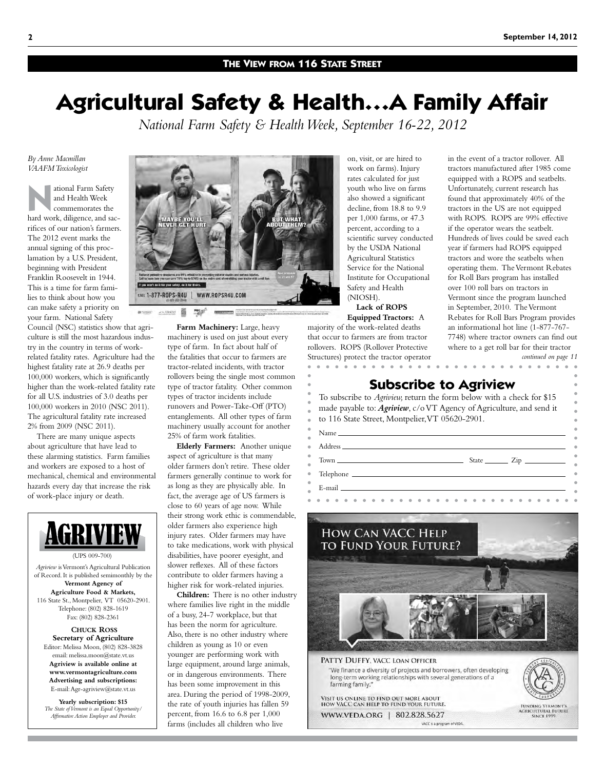### **The View from 116 State Street**

# **Agricultural Safety & Health…A Family Affair**

*National Farm Safety & Health Week, September 16-22, 2012*

*By Anne Macmillan VAAFM Toxicologist*

**N**ational Farm Safety and Health Week commemorates the hard work, diligence, and sacrifices of our nation's farmers. The 2012 event marks the annual signing of this proclamation by a U.S. President, beginning with President Franklin Roosevelt in 1944. This is a time for farm families to think about how you can make safety a priority on your farm. National Safety

Council (NSC) statistics show that agriculture is still the most hazardous industry in the country in terms of workrelated fatality rates. Agriculture had the highest fatality rate at 26.9 deaths per 100,000 workers, which is significantly higher than the work-related fatality rate for all U.S. industries of 3.0 deaths per 100,000 workers in 2010 (NSC 2011). The agricultural fatality rate increased 2% from 2009 (NSC 2011).

There are many unique aspects about agriculture that have lead to these alarming statistics. Farm families and workers are exposed to a host of mechanical, chemical and environmental hazards every day that increase the risk of work-place injury or death.



*Affirmative Action Employer and Provider.*



**Farm Machinery:** Large, heavy machinery is used on just about every type of farm. In fact about half of the fatalities that occur to farmers are tractor-related incidents, with tractor rollovers being the single most common type of tractor fatality. Other common types of tractor incidents include runovers and Power-Take-Off (PTO) entanglements. All other types of farm machinery usually account for another 25% of farm work fatalities.

**Elderly Farmers:** Another unique aspect of agriculture is that many older farmers don't retire. These older farmers generally continue to work for as long as they are physically able. In fact, the average age of US farmers is close to 60 years of age now. While their strong work ethic is commendable, older farmers also experience high injury rates. Older farmers may have to take medications, work with physical disabilities, have poorer eyesight, and slower reflexes. All of these factors contribute to older farmers having a higher risk for work-related injuries.

**Children:** There is no other industry where families live right in the middle of a busy, 24-7 workplace, but that has been the norm for agriculture. Also, there is no other industry where children as young as 10 or even younger are performing work with large equipment, around large animals, or in dangerous environments. There has been some improvement in this area. During the period of 1998-2009, the rate of youth injuries has fallen 59 percent, from 16.6 to 6.8 per 1,000 farms (includes all children who live

on, visit, or are hired to work on farms). Injury rates calculated for just youth who live on farms also showed a significant decline, from 18.8 to 9.9 per 1,000 farms, or 47.3 percent, according to a scientific survey conducted by the USDA National Agricultural Statistics Service for the National Institute for Occupational Safety and Health (NIOSH). **Lack of ROPS** 

**Equipped Tractors:** A majority of the work-related deaths that occur to farmers are from tractor rollovers. ROPS (Rollover Protective Structures) protect the tractor operator in the event of a tractor rollover. All tractors manufactured after 1985 come equipped with a ROPS and seatbelts. Unfortunately, current research has found that approximately 40% of the tractors in the US are not equipped with ROPS. ROPS are 99% effective if the operator wears the seatbelt. Hundreds of lives could be saved each year if farmers had ROPS equipped tractors and wore the seatbelts when operating them. The Vermont Rebates for Roll Bars program has installed over 100 roll bars on tractors in Vermont since the program launched in September, 2010. The Vermont Rebates for Roll Bars Program provides an informational hot line (1-877-767- 7748) where tractor owners can find out where to a get roll bar for their tractor

*continued on page 11*

**AGRICULTURAL FUTURE** 

**Subscribe to Agriview**

To subscribe to *Agriview,* return the form below with a check for \$15 made payable to: *Agriview*, c/o VT Agency of Agriculture, and send it to 116 State Street, Montpelier, VT 05620-2901.

| $E$ -mail $\sim$ |  |
|------------------|--|
|                  |  |



VISIT US ONLINE TO FIND OUT MORE ABOUT<br>HOW VACC CAN HELP TO FUND YOUR FUTURE.

WWW.VEDA.ORG | 802.828.5627 VACC is a program of VEDA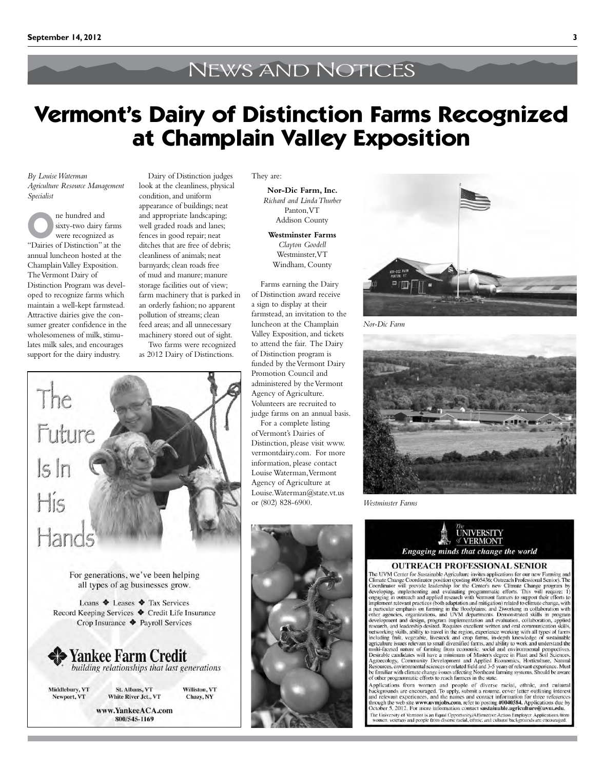# News and Notices

# **Vermont's Dairy of Distinction Farms Recognized at Champlain Valley Exposition**

*By Louise Waterman Agriculture Resource Management Specialist*

**O**ne hundred and sixty-two dairy farms were recognized as "Dairies of Distinction" at the annual luncheon hosted at the Champlain Valley Exposition. The Vermont Dairy of Distinction Program was developed to recognize farms which maintain a well-kept farmstead. Attractive dairies give the consumer greater confidence in the wholesomeness of milk, stimulates milk sales, and encourages support for the dairy industry.

The

 $\lfloor s \rfloor r$ 

His

Hand

Future

look at the cleanliness, physical condition, and uniform appearance of buildings; neat and appropriate landscaping; well graded roads and lanes; fences in good repair; neat ditches that are free of debris; cleanliness of animals; neat barnyards; clean roads free of mud and manure; manure storage facilities out of view; farm machinery that is parked in an orderly fashion; no apparent pollution of streams; clean feed areas; and all unnecessary machinery stored out of sight.

Dairy of Distinction judges

Two farms were recognized as 2012 Dairy of Distinctions.

They are:

**Nor-Dic Farm, Inc.** *Richard and Linda Thurber* Panton, VT Addison County

**Westminster Farms** *Clayton Goodell* Westminster, VT Windham, County

Farms earning the Dairy of Distinction award receive a sign to display at their farmstead, an invitation to the luncheon at the Champlain Valley Exposition, and tickets to attend the fair. The Dairy of Distinction program is funded by the Vermont Dairy Promotion Council and administered by the Vermont Agency of Agriculture. Volunteers are recruited to judge farms on an annual basis.

For a complete listing of Vermont's Dairies of Distinction, please visit www. vermontdairy.com. For more information, please contact Louise Waterman, Vermont Agency of Agriculture at Louise.Waterman@state.vt.us or (802) 828-6900.



*Nor-Dic Farm*



*Westminster Farms*





#### **OUTREACH PROFESSIONAL SENIOR**

**COUTREACH PROFESSIONAL SENIOR**<br>The UVM Center for Sustainable Agriculture invites applications for our new Farming and<br>Climate Change Coordinator will provide leadership for the Center's new Climate Chrossiconal Senior). of other programmatic efforts to reach farmers in the state.

or once programmate errors to reach tailings in the state.<br>Applications from women and people of diverse racial, ethnic, and cultural<br>Applications from women and people of diverse incover letter outlining interest<br>and rele The University of Vermont is an Equal Opportunity/Affirmative Action Employer. Applications frequency women, veterans and people from diverse racial, ethnic, and cultural backgrounds are encouraged

**Yankee Farm Credit**<br>building relationships that last generations Middlebury, VT

Newport, VT

St. Albans, VT Williston, VT White River Jct., VT Chazy, NY

www.YankeeACA.com 800/545-1169

For generations, we've been helping all types of ag businesses grow.

Loans  $\triangle$  Leases  $\triangle$  Tax Services Record Keeping Services ♦ Credit Life Insurance Crop Insurance + Payroll Services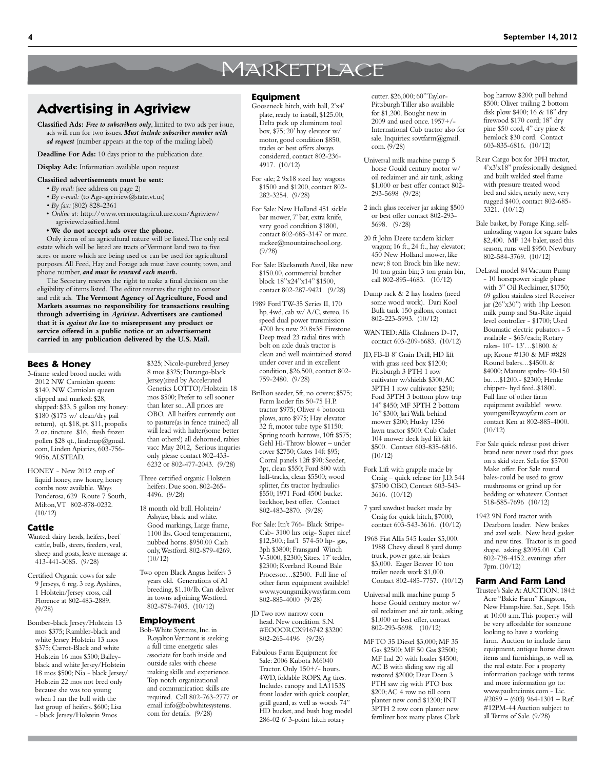## **MARKETPLACE**

## **Advertising in Agriview**

- **Classified Ads:** *Free to subscribers only*, limited to two ads per issue, ads will run for two issues. *Must include subscriber number with ad request* (number appears at the top of the mailing label)
- **Deadline For Ads:** 10 days prior to the publication date.

**Display Ads:** Information available upon request

#### **Classified advertisements must be sent:**

- *By mail:* (see address on page 2)
- *By e-mail:* (to Agr-agriview@state.vt.us)
- *By fax:* (802) 828-2361
- • *Online at:* [http://www.vermontagriculture.com/Agriview/](http://www.vermontagriculture.com/Agriview/agriviewclassified.html) [agriviewclassified.html](http://www.vermontagriculture.com/Agriview/agriviewclassified.html)

**• We do not accept ads over the phone.**

Only items of an agricultural nature will be listed. The only real estate which will be listed are tracts of Vermont land two to five acres or more which are being used or can be used for agricultural purposes. All Feed, Hay and Forage ads must have county, town, and phone number, *and must be renewed each month.*

The Secretary reserves the right to make a final decision on the eligibility of items listed. The editor reserves the right to censor and edit ads. **The Vermont Agency of Agriculture, Food and Markets assumes no responsibility for transactions resulting through advertising in** *Agriview***. Advertisers are cautioned that it is** *against the law* **to misrepresent any product or service offered in a public notice or an advertisement carried in any publication delivered by the U.S. Mail.**

### **Bees & Honey**

- 3-frame sealed brood nuclei with 2012 NW Carniolan queen: \$140, NW Carniolan queen clipped and marked: \$28, shipped: \$33, 5 gallon my honey: \$180 (\$175 w/ clean/dry pail return), qt. \$18, pt. \$11, propolis 2 oz. tincture \$16, fresh frozen pollen \$28 qt., lindenap@gmail. com, Linden Apiaries, 603-756- 9056, ALSTEAD.
- HONEY New 2012 crop of liquid honey, raw honey, honey combs now available. Ways Ponderosa, 629 Route 7 South, Milton, VT 802-878-0232. (10/12)

#### **Cattle**

- Wanted: dairy herds, heifers, beef cattle, bulls, steers, feeders, veal, sheep and goats, leave message at 413-441-3085. (9/28)
- Certified Organic cows for sale 9 Jerseys, 6 reg. 3 reg. Ayshires, 1 Holstein/Jersey cross, call Florence at 802-483-2889. (9/28)
- Bomber-black Jersey/Holstein 13 mos \$375; Rambler-black and white Jersey Holstein 13 mos \$375; Carrot-Black and white Holstein 16 mos \$500; Baileyblack and white Jersey/Holstein 18 mos \$500; Nia - black Jersey/ Holstein 22 mos not bred only because she was too young when I ran the bull with the last group of heifers. \$600; Lisa - black Jersey/Holstein 9mos

8 mos \$325; Durango-black Jersey(sired by Accelerated Genetics LOTTO)/Holstein 18 mos \$500; Prefer to sell sooner than later so...All prices are OBO. All heifers currently out to pasture(as in fence trained) all will lead with halter(some better than others!) all dehorned, rabies vacc May 2012, Serious inquries only please contact 802-433- 6232 or 802-477-2043. (9/28)

\$325; Nicole-purebred Jersey

- Three certified organic Holstein heifers. Due soon. 802-265- 4496. (9/28)
- 18 month old bull. Holstein/ Ashyire, black and white. Good markings, Large frame, 1100 lbs. Good temperament, nubbed horns. \$950.00 Cash only, Westford. 802-879-4269.  $(10/12)$
- Two open Black Angus heifers 3 years old. Generations of AI breeding, \$1.10/lb. Can deliver in towns adjoining Westford. 802-878-7405. (10/12)

#### **Employment**

Bob-White Systems, Inc. in Royalton Vermont is seeking a full time energetic sales associate for both inside and outside sales with cheese making skills and experience. Top notch organizational and communication skills are required. Call 802-763-2777 or email info@bobwhitesystems. com for details. (9/28)

#### **Equipment**

- Gooseneck hitch, with ball, 2'x4' plate, ready to install, \$125.00; Delta pick up aluminum tool box, \$75; 20' hay elevator w/ motor, good condition \$850, trades or best offers always considered, contact 802-236- 4917. (10/12)
- For sale; 2 9x18 steel hay wagons \$1500 and \$1200, contact 802- 282-3254. (9/28)
- For Sale: New Holland 451 sickle bar mower, 7' bar, extra knife, very good condition \$1800, contact 802-685-3147 or marc. mckee@mountainschool.org. (9/28)
- For Sale: Blacksmith Anvil, like new \$150.00, commercial butcher block 18"x24"x14" \$1500, contact 802-287-9421. (9/28)
- 1989 Ford TW-35 Series II, 170 hp, 4wd, cab w/ A/C, stereo, 16 speed dual power transmission 4700 hrs new 20.8x38 Firestone Deep tread 23 radial tires with bolt on axle duals tractor is clean and well maintained stored under cover and in excellent condition, \$26,500, contact 802- 759-2480. (9/28)
- Brillion seeder, 5ft, no covers; \$575; Farm laoder fits 50-75 H.P. tractor \$975; Oliver 4 botoom plows, auto \$975; Hay elevator 32 ft, motor tube type \$1150; Spring tooth harrows, 10ft \$575; Gehl Hi-Throw blower – under cover \$2750; Gates 14ft \$95; Corral panels 12ft \$90; Seeder, 3pt, clean \$550; Ford 800 with half-tracks, clean \$5500; wood splitter, fits tractor hydraulics \$550; 1971 Ford 4500 bucket backhoe, best offer. Contact 802-483-2870. (9/28)
- For Sale: Itn't 766- Black Stripe-Cab- 3100 hrs orig- Super nice! \$12,500.; Int'l 574-50 hp- gas, 3ph \$3800; Fransgard Winch V-5000, \$2300; Sitrex 17' tedder, \$2300; Kverland Round Bale Processor…\$2500. Full line of other farm equipment available! www.youngsmilkywayfarm.com 802-885-4000 (9/28)
- JD Two row narrow corn head. New condition. S.N. #EOOORCX916742 \$3200 802-265-4496 (9/28)
- Fabulous Farm Equipment for Sale: 2006 Kubota M6040 Tractor. Only 150+/- hours. 4WD, foldable ROPS, Ag tires. Includes canopy and LA1153S front loader with quick coupler, grill guard, as well as woods 74" HD bucket, and bush hog model 286-02 6' 3-point hitch rotary

cutter. \$26,000; 60" Taylor-Pittsburgh Tiller also available for \$1,200. Bought new in 2009 and used once. 1957+/- International Cub tractor also for sale. Inquiries: sovtfarm@gmail. com. (9/28)

- Universal milk machine pump 5 horse Gould century motor w/ oil reclaimer and air tank, asking \$1,000 or best offer contact 802- 293-5698 (9/28)
- 2 inch glass receiver jar asking \$500 or best offer contact 802-293- 5698. (9/28)
- 20 ft John Deere tandem kicker wagon; 16 ft., 24 ft., hay elevator; 450 New Holland mower, like new; 8 ton Brock bin like new; 10 ton grain bin; 3 ton grain bin, call 802-895-4683. (10/12)
- Dump rack & 2 hay loaders (need some wood work). Dari Kool Bulk tank 150 gallons, contact 802-223-5993. (10/12)
- WANTED: Allis Chalmers D-17, contact 603-209-6683. (10/12)
- JD, FB-B 8' Grain Drill; HD lift with grass seed box \$1200; Pittsburgh 3 PTH 1 row cultivator w/shields \$300; AC 3PTH 1 row cultivator \$250; Ford 3PTH 3 bottom plow trip 14" \$450; MF 3PTH 2 bottom 16" \$300; Jari Walk behind mower \$200; Husky 1256 lawn tractor \$500: Cub Cadet 104 mower deck hyd lift kit \$500. Contact 603-835-6816.  $(10/12)$
- Fork Lift with grapple made by Craig – quick release for J.D. 544 \$7500 OBO, Contact 603-543- 3616. (10/12)
- 7 yard sawdust bucket made by Craig for quick hitch, \$7000, contact 603-543-3616. (10/12)
- 1968 Fiat Allis 545 loader \$5,000. 1988 Chevy diesel 8 yard dump truck, power gate, air brakes \$3,000. Eager Beaver 10 ton trailer needs work \$1,000. Contact 802-485-7757. (10/12)
- Universal milk machine pump 5 horse Gould century motor w/ oil reclaimer and air tank, asking \$1,000 or best offer, contact 802-293-5698. (10/12)
- MF TO 35 Diesel \$3,000; MF 35 Gas \$2500; MF 50 Gas \$2500; MF Ind 20 with loader \$4500; AC B with sliding saw rig all restored \$2000; Dear Dorn 3 PTH saw rig with PTO box \$200; AC 4 row no till corn planter new cond \$1200; INT 3PTH 2 row corn planter new fertilizer box many plates Clark

bog harrow \$200; pull behind \$500; Oliver trailing 2 bottom disk plow \$400; 16 & 18" dry firewood \$170 cord; 18" dry pine \$50 cord, 4" dry pine & hemlock \$30 cord. Contact 603-835-6816. (10/12)

- Rear Cargo box for 3PH tractor, 4'x3'x18" professionally designed and built welded steel frame with pressure treated wood bed and sides, nearly new, very rugged \$400, contact 802-685- 3321. (10/12)
- Bale basket, by Forage King, selfunloading wagon for square bales \$2,400. MF 124 baler, used this season, runs well \$950. Newbury 802-584-3769. (10/12)
- DeLaval model 84 Vacuum Pump - 10 horsepower single phase with 3" Oil Reclaimer, \$1750; 69 gallon stainless steel Receiver jar (26"x30") with 1hp Leeson milk pump and Sta-Rite liquid level controller - \$1700; Used Boumatic electric pulsators - 5 available - \$65/each; Rotary rakes- 10'- 13'…\$1800. & up; Krone #130 & MF #828 Round balers…\$4500. & \$4000; Manure sprdrs- 90-150 bu….\$1200.- \$2300; Henke chipper- hyd feed..\$1800. Full line of other farm equipment available! www. youngsmilkywayfarm.com or contact Ken at 802-885-4000.  $(10/12)$
- For Sale quick release post driver brand new never used that goes on a skid steer. Sells for \$5700 Make offer. For Sale round bales-could be used to grow mushrooms or grind up for bedding or whatever. Contact 518-585-7696 (10/12)
- 1942 9N Ford tractor with Dearborn loader. New brakes and axel seals. New head gasket and new tires. Tractor is in good shape. asking \$2095.00 Call 802-728-4152..evenings after 7pm. (10/12)

#### **Farm And Farm Land**

Trustee's Sale At AUCTION; 184± Acre "Bakie Farm" Kingston, New Hampshire. Sat., Sept. 15th at 10:00 a.m. This property will be very affordable for someone looking to have a working farm. Auction to include farm equipment, antique horse drawn items and furnishings, as well as, the real estate. For a property information package with terms and more information go to: www.paulmcinnis.com - Lic. #2089 – (603) 964-1301 – Ref. #12PM-44 Auction subject to all Terms of Sale. (9/28)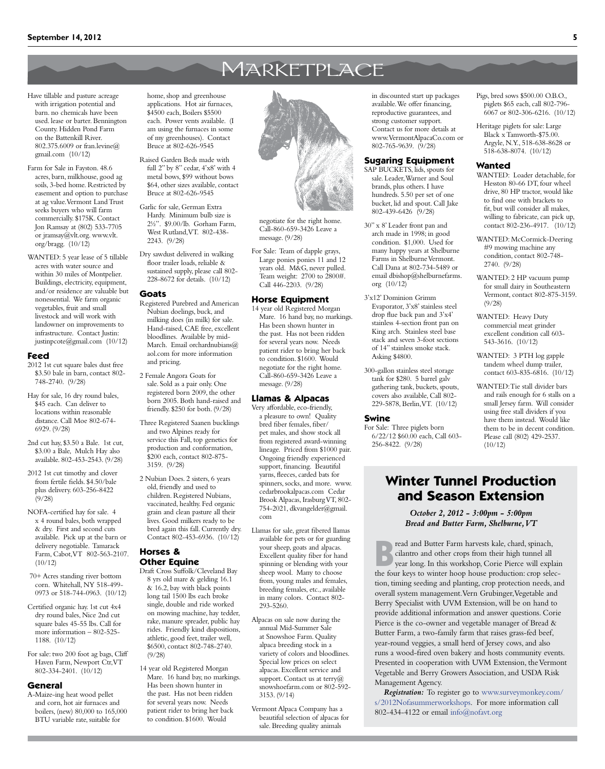## **MARKETPLACE**

- Have tillable and pasture acreage with irrigation potential and barn. no chemicals have been used. lease or barter. Bennington County. Hidden Pond Farm on the Battenkill River. 802.375.6009 or fran.levine@ gmail.com (10/12)
- Farm for Sale in Fayston. 48.6 acres, barn, milkhouse, good ag soils, 3-bed home. Restricted by easement and option to purchase at ag value. Vermont Land Trust seeks buyers who will farm commercially. \$175K. Contact Jon Ramsay at (802) 533-7705 or jramsay@vlt.org. www.vlt. org/bragg. (10/12)
- WANTED: 5 year lease of 5 tillable acres with water source and within 30 miles of Montpelier. Buildings, electricity, equipment, and/or residence are valuable but nonessential. We farm organic vegetables, fruit and small livestock and will work with landowner on improvements to infrastructure. Contact Justin: justinpcote@gmail.com (10/12)

#### **Feed**

- 2012 1st cut square bales dust free \$3.50 bale in barn, contact 802- 748-2740. (9/28)
- Hay for sale, 16 dry round bales, \$45 each. Can deliver to locations within reasonable distance. Call Moe 802-674- 6929. (9/28)
- 2nd cut hay, \$3.50 a Bale. 1st cut, \$3.00 a Bale, Mulch Hay also available. 802-453-2543. (9/28)
- 2012 1st cut timothy and clover from fertile fields. \$4.50/bale plus delivery. 603-256-8422 (9/28)
- NOFA-certified hay for sale. 4 x 4 round bales, both wrapped & dry. First and second cuts available. Pick up at the barn or delivery negotiable. Tamarack Farm, Cabot, VT 802-563-2107.  $(10/12)$
- 70+ Acres standing river bottom corn. Whitehall, NY 518-499- 0973 or 518-744-0963. (10/12)
- Certified organic hay. 1st cut 4x4 dry round bales, Nice 2nd cut square bales 45-55 lbs. Call for more information – 802-525- 1188. (10/12)
- For sale: two 200 foot ag bags, Cliff Haven Farm, Newport Ctr, VT 802-334-2401. (10/12)

#### **General**

A-Maize-ing heat wood pellet and corn, hot air furnaces and boilers, (new) 80,000 to 165,000 BTU variable rate, suitable for

- home, shop and greenhouse applications. Hot air furnaces, \$4500 each, Boilers \$5500 each. Power vents available. (I am using the furnaces in some of my greenhouses). Contact Bruce at 802-626-9545
- Raised Garden Beds made with full 2" by 8" cedar, 4'x8' with 4 metal bows, \$99 without bows \$64, other sizes available, contact Bruce at 802-626-9545
- Garlic for sale, German Extra Hardy. Minimum bulb size is 2½". \$9.00/lb. Gorham Farm, West Rutland, VT. 802-438-2243. (9/28)
- Dry sawdust delivered in walking floor trailer loads, reliable & sustained supply, please call 802- 228-8672 for details. (10/12)

#### **Goats**

- Registered Purebred and American Nubian doelings, buck, and milking does (in milk) for sale. Hand-raised, CAE free, excellent bloodlines. Available by mid-March. Email orchardnubians@ aol.com for more information and pricing.
- 2 Female Angora Goats for sale. Sold as a pair only. One registered born 2009, the other born 2005. Both hand-raised and friendly. \$250 for both. (9/28)
- Three Registered Saanen bucklings and two Alpines ready for service this Fall, top genetics for production and conformation, \$200 each, contact 802-875- 3159. (9/28)
- 2 Nubian Does. 2 sisters, 6 years old, friendly and used to children. Registered Nubians, vaccinated, healthy. Fed organic grain and clean pasture all their lives. Good milkers ready to be bred again this fall. Currently dry. Contact 802-453-6936. (10/12)

#### **Horses & Other Equine**

- Draft Cross Suffolk/Cleveland Bay 8 yrs old mare & gelding 16.1  $\alpha$  16.2, bay with black points long tail 1500 lbs each broke single, double and ride worked on mowing machine, hay tedder, rake, manure spreader, public hay rides. Friendly kind dispositions, athletic, good feet, trailer well, \$6500, contact 802-748-2740. (9/28)
- 14 year old Registered Morgan Mare. 16 hand bay, no markings. Has been shown hunter in the past. Has not been ridden for several years now. Needs patient rider to bring her back to condition. \$1600. Would



negotiate for the right home. Call-860-659-3426 Leave a message. (9/28)

For Sale: Team of dapple grays, Large ponies ponies 11 and 12 years old. M&G, never pulled. Team weight: 2700 to 2800#. Call 446-2203. (9/28)

#### **Horse Equipment**

14 year old Registered Morgan Mare. 16 hand bay, no markings. Has been shown hunter in the past. Has not been ridden for several years now. Needs patient rider to bring her back to condition. \$1600. Would negotiate for the right home. Call-860-659-3426 Leave a message. (9/28)

#### **Llamas & Alpacas**

- Very affordable, eco-friendly, a pleasure to own! Quality bred fiber females, fiber/ pet males, and show stock all from registered award-winning lineage. Priced from \$1000 pair. Ongoing friendly experienced support, financing. Beautiful yarns, fleeces, carded bats for spinners, socks, and more. www. cedarbrookalpacas.com Cedar Brook Alpacas, Irasburg VT, 802- 754-2021, dkvangelder@gmail. com
- Llamas for sale, great fibered llamas available for pets or for guarding your sheep, goats and alpacas. Excellent quality fiber for hand spinning or blending with your sheep wool. Many to choose from, young males and females, breeding females, etc., available in many colors. Contact 802- 293-5260.
- Alpacas on sale now during the annual Mid-Summer Sale at Snowshoe Farm. Quality alpaca breeding stock in a variety of colors and bloodlines. Special low prices on select alpacas. Excellent service and support. Contact us at terry $@$ snowshoefarm.com or 802-592- 3153. (9/14)
- Vermont Alpaca Company has a beautiful selection of alpacas for sale. Breeding quality animals

in discounted start up packages available. We offer financing, reproductive guarantees, and strong customer support. Contact us for more details at www.VermontAlpacaCo.com or 802-765-9639. (9/28)

#### **Sugaring Equipment**

- SAP BUCKETS, lids, spouts for sale. Leader, Warner and Soul brands, plus others. I have hundreds. 5.50 per set of one bucket, lid and spout. Call Jake 802-439-6426 (9/28)
- 30" x 8' Leader front pan and arch made in 1998; in good condition. \$1,000. Used for many happy years at Shelburne Farms in Shelburne Vermont. Call Dana at 802-734-5489 or email dbishop@shelburnefarms. org (10/12)
- 3'x12' Dominion Grimm Evaporator, 3'x8' stainless steel drop flue back pan and 3'x4' stainless 4-section front pan on King arch. Stainless steel base stack and seven 3-foot sections of 14" stainless smoke stack. Asking \$4800.
- 300-gallon stainless steel storage tank for \$280. 5 barrel galv gathering tank, buckets, spouts, covers also available, Call 802- 229-5878, Berlin, VT. (10/12)

#### **Swine**

For Sale: Three piglets born 6/22/12 \$60.00 each, Call 603- 256-8422. (9/28)

Pigs, bred sows \$500.00 O.B.O., piglets \$65 each, call 802-796- 6067 or 802-306-6216. (10/12)

Heritage piglets for sale: Large Black x Tamworth-\$75.00. Argyle, N.Y., 518-638-8628 or 518-638-8074. (10/12)

#### **Wanted**

- WANTED: Loader detachable, for Hesston 80-66 DT, four wheel drive, 80 HP tractor, would like to find one with brackets to fit, but will consider all makes, willing to fabricate, can pick up, contact 802-236-4917. (10/12)
- WANTED: McCormick-Deering #9 mowing machine any condition, contact 802-748- 2740. (9/28)
- WANTED: 2 HP vacuum pump for small dairy in Southeastern Vermont, contact 802-875-3159. (9/28)
- WANTED: Heavy Duty commercial meat grinder excellent condition call 603- 543-3616. (10/12)
- WANTED: 3 PTH log gapple tandem wheel dump trailer, contact 603-835-6816. (10/12)
- WANTED: Tie stall divider bars and rails enough for 6 stalls on a small Jersey farm. Will consider using free stall dividers if you have them instead. Would like them to be in decent condition. Please call (802) 429-2537.  $(10/12)$

### **Winter Tunnel Production and Season Extension**

*October 2, 2012 - 3:00pm - 5:00pm Bread and Butter Farm, Shelburne, VT*

**Bread and Butter Farm harvests kale, chard, spinach, cilantro and other crops from their high tunnel all year long. In this workshop, Corie Pierce will explain the four leves to winter hoop, house productions crop soles.** cilantro and other crops from their high tunnel all the four keys to winter hoop house production: crop selection, timing seeding and planting, crop protection needs, and overall system management. Vern Grubinger, Vegetable and Berry Specialist with UVM Extension, will be on hand to provide additional information and answer questions. Corie Pierce is the co-owner and vegetable manager of Bread & Butter Farm, a two-family farm that raises grass-fed beef, year-round veggies, a small herd of Jersey cows, and also runs a wood-fired oven bakery and hosts community events. Presented in cooperation with UVM Extension, the Vermont Vegetable and Berry Growers Association, and USDA Risk Management Agency.

*Registration:* To register go to [www.surveymonkey.com/](www.surveymonkey.com/s/2012Nofasummerworkshops) [s/2012Nofasummerworkshops](www.surveymonkey.com/s/2012Nofasummerworkshops). For more information call 802-434-4122 or email [info@nofavt.org](mailto:info%40nofavt.org?subject=)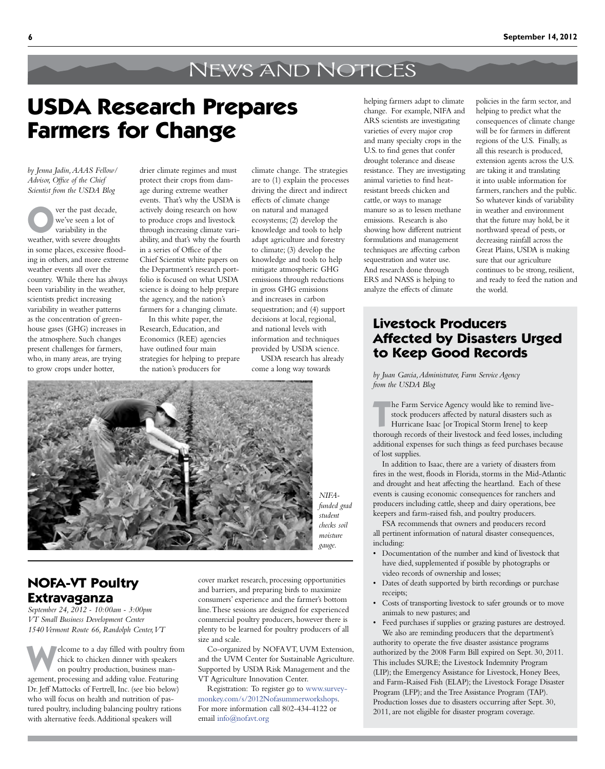# News and Notices

# **USDA Research Prepares Farmers for Change**

*by Jenna Jadin, AAAS Fellow/ Advisor, Office of the Chief Scientist from the USDA Blog*

ver the past decade, we've seen a lot of variability in the weather, with severe droughts in some places, excessive flooding in others, and more extreme weather events all over the country. While there has always been variability in the weather, scientists predict increasing variability in weather patterns as the concentration of greenhouse gases (GHG) increases in the atmosphere. Such changes present challenges for farmers, who, in many areas, are trying to grow crops under hotter,

drier climate regimes and must protect their crops from damage during extreme weather events. That's why the USDA is actively doing research on how to produce crops and livestock through increasing climate variability, and that's why the fourth in a series of Office of the Chief Scientist white papers on the Department's research portfolio is focused on what USDA science is doing to help prepare the agency, and the nation's farmers for a changing climate.

In this white paper, the Research, Education, and Economics (REE) agencies have outlined four main strategies for helping to prepare the nation's producers for

climate change. The strategies are to (1) explain the processes driving the direct and indirect effects of climate change on natural and managed ecosystems; (2) develop the knowledge and tools to help adapt agriculture and forestry to climate; (3) develop the knowledge and tools to help mitigate atmospheric GHG emissions through reductions in gross GHG emissions and increases in carbon sequestration; and (4) support decisions at local, regional, and national levels with information and techniques provided by USDA science.

USDA research has already come a long way towards



*NIFAfunded grad student checks soil moisture gauge.*

**NOFA-VT Poultry Extravaganza**

*September 24, 2012 - 10:00am - 3:00pm VT Small Business Development Center 1540 Vermont Route 66, Randolph Center, VT*

**W**elcome to a day filled with poultry from chick to chicken dinner with speakers on poultry production, business management, processing and adding value. Featuring Dr. Jeff Mattocks of Fertrell, Inc. (see bio below) who will focus on health and nutrition of pastured poultry, including balancing poultry rations with alternative feeds. Additional speakers will

cover market research, processing opportunities and barriers, and preparing birds to maximize consumers' experience and the farmer's bottom line. These sessions are designed for experienced commercial poultry producers, however there is plenty to be learned for poultry producers of all size and scale.

Co-organized by NOFA VT, UVM Extension, and the UVM Center for Sustainable Agriculture. Supported by USDA Risk Management and the VT Agriculture Innovation Center.

Registration: To register go to [www.survey](www.surveymonkey.com/s/2012Nofasummerworkshops)[monkey.com/s/2012Nofasummerworkshops.](www.surveymonkey.com/s/2012Nofasummerworkshops) For more information call 802-434-4122 or email info@nofavt.org

helping farmers adapt to climate change. For example, NIFA and ARS scientists are investigating varieties of every major crop and many specialty crops in the U.S. to find genes that confer drought tolerance and disease resistance. They are investigating animal varieties to find heatresistant breeds chicken and cattle, or ways to manage manure so as to lessen methane emissions. Research is also showing how different nutrient formulations and management techniques are affecting carbon sequestration and water use. And research done through ERS and NASS is helping to analyze the effects of climate

policies in the farm sector, and helping to predict what the consequences of climate change will be for farmers in different regions of the U.S. Finally, as all this research is produced, extension agents across the U.S. are taking it and translating it into usable information for farmers, ranchers and the public. So whatever kinds of variability in weather and environment that the future may hold, be it northward spread of pests, or decreasing rainfall across the Great Plains, USDA is making sure that our agriculture continues to be strong, resilient, and ready to feed the nation and the world.

### **Livestock Producers Affected by Disasters Urged to Keep Good Records**

*by Juan Garcia, Administrator, Farm Service Agency from the USDA Blog* 

**THE FARM Service Agency would like to remind live-<br>
stock producers affected by natural disasters such as<br>
Hurricane Isaac [or Tropical Storm Irene] to keep<br>
thereuch measure of their livesteels and feed losses includi** stock producers affected by natural disasters such as

Hurricane Isaac [or Tropical Storm Irene] to keep thorough records of their livestock and feed losses, including additional expenses for such things as feed purchases because of lost supplies.

In addition to Isaac, there are a variety of disasters from fires in the west, floods in Florida, storms in the Mid-Atlantic and drought and heat affecting the heartland. Each of these events is causing economic consequences for ranchers and producers including cattle, sheep and dairy operations, bee keepers and farm-raised fish, and poultry producers.

FSA recommends that owners and producers record all pertinent information of natural disaster consequences, including:

- • Documentation of the number and kind of livestock that have died, supplemented if possible by photographs or video records of ownership and losses;
- • Dates of death supported by birth recordings or purchase receipts;
- Costs of transporting livestock to safer grounds or to move animals to new pastures; and
- • Feed purchases if supplies or grazing pastures are destroyed. We also are reminding producers that the department's authority to operate the five disaster assistance programs authorized by the 2008 Farm Bill expired on Sept. 30, 2011. This includes SURE; the Livestock Indemnity Program (LIP); the Emergency Assistance for Livestock, Honey Bees, and Farm-Raised Fish (ELAP); the Livestock Forage Disaster Program (LFP); and the Tree Assistance Program (TAP). Production losses due to disasters occurring after Sept. 30, 2011, are not eligible for disaster program coverage.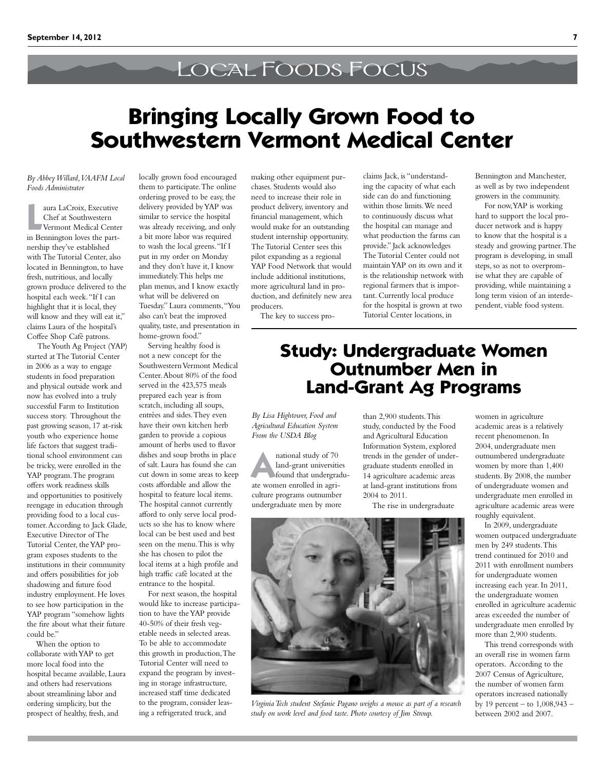## Local Foods Focus

# **Bringing Locally Grown Food to Southwestern Vermont Medical Center**

*By Abbey Willard, VAAFM Local Foods Administrator*

**La Croix, Executive Chef at Southwestern<br>
<b>Le Chef at Southwestern**<br> **Le Chef at Southwestern**<br> **Le Chef at Southwestern**<br> **Le Chef at Southwestern**<br> **Le Chef at Southwestern** aura LaCroix, Executive Chef at Southwestern Vermont Medical Center nership they've established with The Tutorial Center, also located in Bennington, to have fresh, nutritious, and locally grown produce delivered to the hospital each week. "If I can highlight that it is local, they will know and they will eat it," claims Laura of the hospital's Coffee Shop Café patrons.

 The Youth Ag Project (YAP) started at The Tutorial Center in 2006 as a way to engage students in food preparation and physical outside work and now has evolved into a truly successful Farm to Institution success story. Throughout the past growing season, 17 at-risk youth who experience home life factors that suggest traditional school environment can be tricky, were enrolled in the YAP program. The program offers work readiness skills and opportunities to positively reengage in education through providing food to a local customer. According to Jack Glade, Executive Director of The Tutorial Center, the YAP program exposes students to the institutions in their community and offers possibilities for job shadowing and future food industry employment. He loves to see how participation in the YAP program "somehow lights the fire about what their future could be."

When the option to collaborate with YAP to get more local food into the hospital became available, Laura and others had reservations about streamlining labor and ordering simplicity, but the prospect of healthy, fresh, and

locally grown food encouraged them to participate. The online ordering proved to be easy, the delivery provided by YAP was similar to service the hospital was already receiving, and only a bit more labor was required to wash the local greens. "If I put in my order on Monday and they don't have it, I know immediately. This helps me plan menus, and I know exactly what will be delivered on Tuesday." Laura comments, "You also can't beat the improved quality, taste, and presentation in home-grown food."

Serving healthy food is not a new concept for the Southwestern Vermont Medical Center. About 80% of the food served in the 423,575 meals prepared each year is from scratch, including all soups, entrées and sides. They even have their own kitchen herb garden to provide a copious amount of herbs used to flavor dishes and soup broths in place of salt. Laura has found she can cut down in some areas to keep costs affordable and allow the hospital to feature local items. The hospital cannot currently afford to only serve local products so she has to know where local can be best used and best seen on the menu. This is why she has chosen to pilot the local items at a high profile and high traffic café located at the entrance to the hospital.

For next season, the hospital would like to increase participation to have the YAP provide 40-50% of their fresh vegetable needs in selected areas. To be able to accommodate this growth in production, The Tutorial Center will need to expand the program by investing in storage infrastructure, increased staff time dedicated to the program, consider leasing a refrigerated truck, and

making other equipment purchases. Students would also need to increase their role in product delivery, inventory and financial management, which would make for an outstanding student internship opportunity. The Tutorial Center sees this pilot expanding as a regional YAP Food Network that would include additional institutions, more agricultural land in production, and definitely new area producers.

The key to success pro-

claims Jack, is "understanding the capacity of what each side can do and functioning within those limits. We need to continuously discuss what the hospital can manage and what production the farms can provide." Jack acknowledges The Tutorial Center could not maintain YAP on its own and it is the relationship network with regional farmers that is important. Currently local produce for the hospital is grown at two Tutorial Center locations, in

Bennington and Manchester, as well as by two independent growers in the community.

For now, YAP is working hard to support the local producer network and is happy to know that the hospital is a steady and growing partner. The program is developing, in small steps, so as not to overpromise what they are capable of providing, while maintaining a long term vision of an interdependent, viable food system.

## **Study: Undergraduate Women Outnumber Men in Land-Grant Ag Programs**

*By Lisa Hightower, Food and Agricultural Education System From the USDA Blog*

**A haif and study of 70**<br>**A land-grant** universities<br>**A the viewers** and led in agric land-grant universities found that undergraduate women enrolled in agriculture programs outnumber undergraduate men by more

than 2,900 students. This study, conducted by the Food and Agricultural Education Information System, explored trends in the gender of undergraduate students enrolled in 14 agriculture academic areas at land-grant institutions from 2004 to 2011.

The rise in undergraduate



*Virginia Tech student Stefanie Pagano weighs a mouse as part of a research study on work level and food taste. Photo courtesy of Jim Stroup.*

women in agriculture academic areas is a relatively recent phenomenon. In 2004, undergraduate men outnumbered undergraduate women by more than 1,400 students. By 2008, the number of undergraduate women and undergraduate men enrolled in agriculture academic areas were roughly equivalent.

In 2009, undergraduate women outpaced undergraduate men by 249 students. This trend continued for 2010 and 2011 with enrollment numbers for undergraduate women increasing each year. In 2011, the undergraduate women enrolled in agriculture academic areas exceeded the number of undergraduate men enrolled by more than 2,900 students.

This trend corresponds with an overall rise in women farm operators. According to the 2007 Census of Agriculture, the number of women farm operators increased nationally by 19 percent – to 1,008,943 – between 2002 and 2007.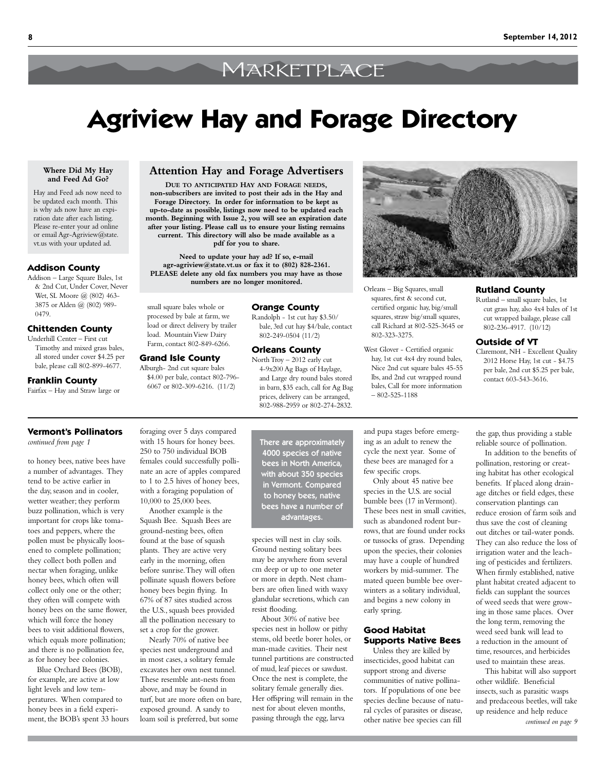# **MARKETPLACE**

# **Agriview Hay and Forage Directory**

#### **Where Did My Hay and Feed Ad Go?**

Hay and Feed ads now need to be updated each month. This is why ads now have an expiration date after each listing. Please re-enter your ad online or email Agr-Agriview@state. vt.us with your updated ad.

#### **Addison County**

Addison – Large Square Bales, 1st & 2nd Cut, Under Cover, Never Wet, SL Moore @ (802) 463- 3875 or Alden @ (802) 989- 0479.

### **Chittenden County**

Underhill Center – First cut Timothy and mixed grass bales, all stored under cover \$4.25 per bale, please call 802-899-4677.

#### **Franklin County**

Fairfax – Hay and Straw large or

### **Attention Hay and Forage Advertisers**

**Due to anticipated Hay and Forage needs, non-subscribers are invited to post their ads in the Hay and Forage Directory. In order for information to be kept as up-to-date as possible, listings now need to be updated each month. Beginning with Issue 2, you will see an expiration date after your listing. Please call us to ensure your listing remains current. This directory will also be made available as a pdf for you to share.**

**Need to update your hay ad? If so, e-mail agr-agriview@state.vt.us or fax it to (802) 828-2361. PLEASE delete any old fax numbers you may have as those numbers are no longer monitored.**

#### **Orange County**

Randolph - 1st cut hay \$3.50/ bale, 3rd cut hay \$4/bale, contact 802-249-0504 (11/2)

### **Orleans County**

North Troy – 2012 early cut 4-9x200 Ag Bags of Haylage, and Large dry round bales stored in barn, \$35 each, call for Ag Bag prices, delivery can be arranged, 802-988-2959 or 802-274-2832.

> and pupa stages before emerging as an adult to renew the cycle the next year. Some of these bees are managed for a few specific crops.

Only about 45 native bee species in the U.S. are social bumble bees (17 in Vermont). These bees nest in small cavities, such as abandoned rodent burrows, that are found under rocks or tussocks of grass. Depending upon the species, their colonies may have a couple of hundred workers by mid-summer. The mated queen bumble bee overwinters as a solitary individual, and begins a new colony in early spring.

### **Good Habitat Supports Native Bees**

Unless they are killed by insecticides, good habitat can support strong and diverse communities of native pollinators. If populations of one bee species decline because of natural cycles of parasites or disease, other native bee species can fill



Orleans – Big Squares, small squares, first & second cut, certified organic hay, big/small squares, straw big/small squares, call Richard at 802-525-3645 or 802-323-3275.

West Glover - Certified organic hay, 1st cut 4x4 dry round bales, Nice 2nd cut square bales 45-55 lbs, and 2nd cut wrapped round bales, Call for more information  $-802-525-1188$ 

### **Rutland County** Rutland – small square bales, 1st

cut grass hay, also 4x4 bales of 1st cut wrapped bailage, please call 802-236-4917. (10/12)

#### **Outside of VT**

Claremont, NH - Excellent Quality 2012 Horse Hay, 1st cut - \$4.75 per bale, 2nd cut \$5.25 per bale, contact 603-543-3616.

### **Vermont's Pollinators**

*continued from page 1*

to honey bees, native bees have a number of advantages. They tend to be active earlier in the day, season and in cooler, wetter weather; they perform buzz pollination, which is very important for crops like tomatoes and peppers, where the pollen must be physically loosened to complete pollination; they collect both pollen and nectar when foraging, unlike honey bees, which often will collect only one or the other; they often will compete with honey bees on the same flower, which will force the honey bees to visit additional flowers, which equals more pollination; and there is no pollination fee, as for honey bee colonies.

Blue Orchard Bees (BOB), for example, are active at low light levels and low temperatures. When compared to honey bees in a field experiment, the BOB's spent 33 hours foraging over 5 days compared with 15 hours for honey bees. 250 to 750 individual BOB females could successfully pollinate an acre of apples compared to 1 to 2.5 hives of honey bees, with a foraging population of 10,000 to 25,000 bees.

small square bales whole or processed by bale at farm, we load or direct delivery by trailer load. Mountain View Dairy Farm, contact 802-849-6266.

**Grand Isle County** Alburgh- 2nd cut square bales \$4.00 per bale, contact 802-796- 6067 or 802-309-6216. (11/2)

Another example is the Squash Bee. Squash Bees are ground-nesting bees, often found at the base of squash plants. They are active very early in the morning, often before sunrise. They will often pollinate squash flowers before honey bees begin flying. In 67% of 87 sites studied across the U.S., squash bees provided all the pollination necessary to set a crop for the grower.

Nearly 70% of native bee species nest underground and in most cases, a solitary female excavates her own nest tunnel. These resemble ant-nests from above, and may be found in turf, but are more often on bare, exposed ground. A sandy to loam soil is preferred, but some

There are approximately 4000 species of native bees in North America, with about 350 species in Vermont. Compared to honey bees, native bees have a number of advantages.

species will nest in clay soils. Ground nesting solitary bees may be anywhere from several cm deep or up to one meter or more in depth. Nest chambers are often lined with waxy glandular secretions, which can resist flooding.

About 30% of native bee species nest in hollow or pithy stems, old beetle borer holes, or man-made cavities. Their nest tunnel partitions are constructed of mud, leaf pieces or sawdust. Once the nest is complete, the solitary female generally dies. Her offspring will remain in the nest for about eleven months, passing through the egg, larva

the gap, thus providing a stable reliable source of pollination. In addition to the benefits of

pollination, restoring or creating habitat has other ecological benefits. If placed along drainage ditches or field edges, these conservation plantings can reduce erosion of farm soils and thus save the cost of cleaning out ditches or tail-water ponds. They can also reduce the loss of irrigation water and the leaching of pesticides and fertilizers. When firmly established, native plant habitat created adjacent to fields can supplant the sources of weed seeds that were growing in those same places. Over the long term, removing the weed seed bank will lead to a reduction in the amount of time, resources, and herbicides used to maintain these areas.

This habitat will also support other wildlife. Beneficial insects, such as parasitic wasps and predaceous beetles, will take up residence and help reduce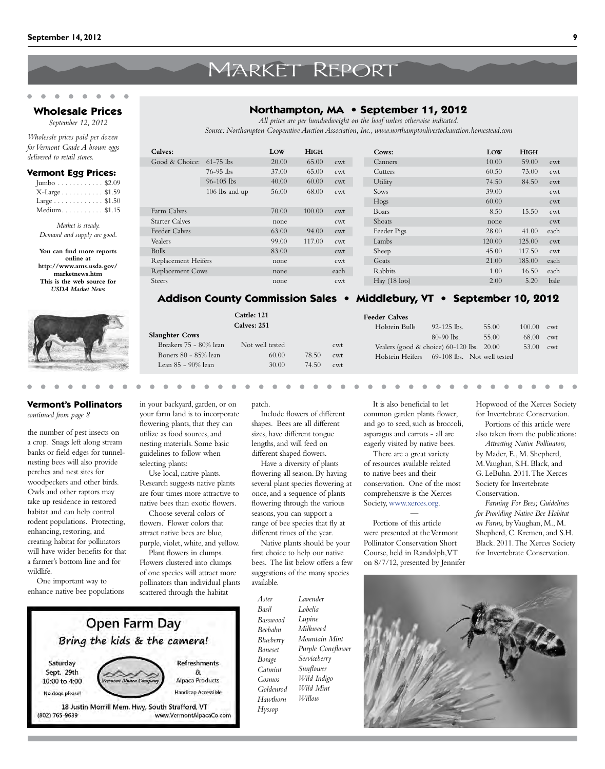# Market Report

#### **Wholesale Prices** *September 12, 2012*

*Wholesale prices paid per dozen for Vermont Grade A brown eggs delivered to retail stores.*

#### **Vermont Egg Prices:**

| Jumbo $\ldots \ldots \ldots$ \$2.09    |  |
|----------------------------------------|--|
| X-Large \$1.59                         |  |
| Large $\dots \dots \dots \dots$ \$1.50 |  |
| Medium\$1.15                           |  |

*Market is steady. Demand and supply are good.*

**You can find more reports online at http://www.ams.usda.gov/ marketnews.htm This is the web source for**  *USDA Market News*



### **Vermont's Pollinators**

*continued from page 8*

the number of pest insects on a crop. Snags left along stream banks or field edges for tunnelnesting bees will also provide perches and nest sites for woodpeckers and other birds. Owls and other raptors may take up residence in restored habitat and can help control rodent populations. Protecting, enhancing, restoring, and creating habitat for pollinators will have wider benefits for that a farmer's bottom line and for wildlife.

One important way to enhance native bee populations in your backyard, garden, or on your farm land is to incorporate flowering plants, that they can nesting materials. Some basic selecting plants:

Use local, native plants. Research suggests native plants native bees than exotic flowers.

Choose several colors of

Plant flowers in clumps.

Include flowers of different shapes. Bees are all different sizes, have different tongue

lengths, and will feed on

patch.

*Basil*

different shaped flowers. Have a diversity of plants flowering all season. By having several plant species flowering at once, and a sequence of plants flowering through the various seasons, you can support a range of bee species that fly at different times of the year.

Native plants should be your first choice to help our native bees. The list below offers a few suggestions of the many species available.

*Aster Basswood Beebalm Blueberry Boneset Borage Catmint Cosmos Goldenrod Hawthorn Hyssop Lavender Lobelia Lupine Milkweed Mountain Mint Purple Coneflower Serviceberry Sunflower Wild Indigo Wild Mint Willow*

It is also beneficial to let common garden plants flower, and go to seed, such as broccoli, asparagus and carrots - all are eagerly visited by native bees.

There are a great variety of resources available related to native bees and their conservation. One of the most comprehensive is the Xerces Society, [www.xerces.org.](www.xerces.org)

— Portions of this article were presented at the Vermont Pollinator Conservation Short Course, held in Randolph, VT on 8/7/12, presented by Jennifer Hopwood of the Xerces Society for Invertebrate Conservation.

 $100.00$  cwt 68.00 cwt  $53.00$  cwt

Portions of this article were also taken from the publications:

*Attracting Native Pollinators,*  by Mader, E., M. Shepherd, M. Vaughan, S.H. Black, and G. LeBuhn. 2011. The Xerces Society for Invertebrate Conservation.

*Farming For Bees; Guidelines for Providing Native Bee Habitat on Farms,* by Vaughan, M., M. Shepherd, C. Kremen, and S.H. Black. 2011. The Xerces Society for Invertebrate Conservation.



### **Northampton, MA • September 11, 2012**

*All prices are per hundredweight on the hoof unless otherwise indicated.*

*Source: Northampton Cooperative Auction Association, Inc., www.northamptonlivestockauction.homestead.com*

| Calves:                    |                | LOW   | <b>HIGH</b> |      | Cows:                   | LOW    | <b>HIGH</b> |      |
|----------------------------|----------------|-------|-------------|------|-------------------------|--------|-------------|------|
| Good & Choice: $61-75$ lbs |                | 20.00 | 65.00       | cwt  | Canners                 | 10.00  | 59.00       | cwt  |
|                            | $76 - 95$ lbs  | 37.00 | 65.00       | cwt  | Cutters                 | 60.50  | 73.00       | cwt  |
|                            | $96 - 105$ lbs | 40.00 | 60.00       | cwt  | Utility                 | 74.50  | 84.50       | cwt  |
|                            | 106 lbs and up | 56.00 | 68.00       | cwt  | Sows                    | 39.00  |             | cwt  |
|                            |                |       |             |      | Hogs                    | 60.00  |             | cwt  |
| Farm Calves                |                | 70.00 | 100.00      | cwt  | Boars                   | 8.50   | 15.50       | cwt  |
| <b>Starter Calves</b>      |                | none  |             | cwt  | Shoats                  | none   |             | cwt  |
| Feeder Calves              |                | 63.00 | 94.00       | cwt  | Feeder Pigs             | 28.00  | 41.00       | each |
| Vealers                    |                | 99.00 | 117.00      | cwt  | Lambs                   | 120.00 | 125.00      | cwt  |
| <b>Bulls</b>               |                | 83.00 |             | cwt  | Sheep                   | 45.00  | 117.50      | cwt  |
| <b>Replacement Heifers</b> |                | none  |             | cwt  | Goats                   | 21.00  | 185.00      | each |
| Replacement Cows           |                | none  |             | each | Rabbits                 | 1.00   | 16.50       | each |
| <b>Steers</b>              |                | none  |             | cwt  | Hay $(18 \text{ lots})$ | 2.00   | 5.20        | bale |

### **Addison County Commission Sales • Middlebury, VT • September 10, 2012**

|                        | Cattle: 121<br>Calves: 251 |       |            | <b>Feeder Calves</b><br>Holstein Bulls       | $92 - 125$ lbs. | 55.00 |
|------------------------|----------------------------|-------|------------|----------------------------------------------|-----------------|-------|
| <b>Slaughter Cows</b>  |                            |       |            |                                              | $80-90$ lbs.    | 55.00 |
| Breakers 75 - 80% lean | Not well tested            |       | <b>cwt</b> | Vealers (good $\&$ choice) 60–120 lbs. 20.00 |                 |       |
| Boners 80 - 85% lean   | 60.00                      | 78.50 | cwt        | Holstein Heifers 69-108 lbs. Not well tested |                 |       |
| Lean 85 - 90% lean     | 30.00                      | 74.50 | cwt        |                                              |                 |       |
|                        |                            |       |            |                                              |                 |       |

utilize as food sources, and guidelines to follow when

are four times more attractive to

flowers. Flower colors that attract native bees are blue, purple, violet, white, and yellow.

Flowers clustered into clumps of one species will attract more pollinators than individual plants scattered through the habitat

Open Farm Day Bring the kids & the camera! Saturday **Refreshments** Sept. 29th 8 Alpaca Products 10:00 to 4:00 **Handicap Accessible** No dogs please! 18 Justin Morrill Mem. Hwy, South Strafford, VT 802) 765-9639 www.VermontAlpacaCo.com

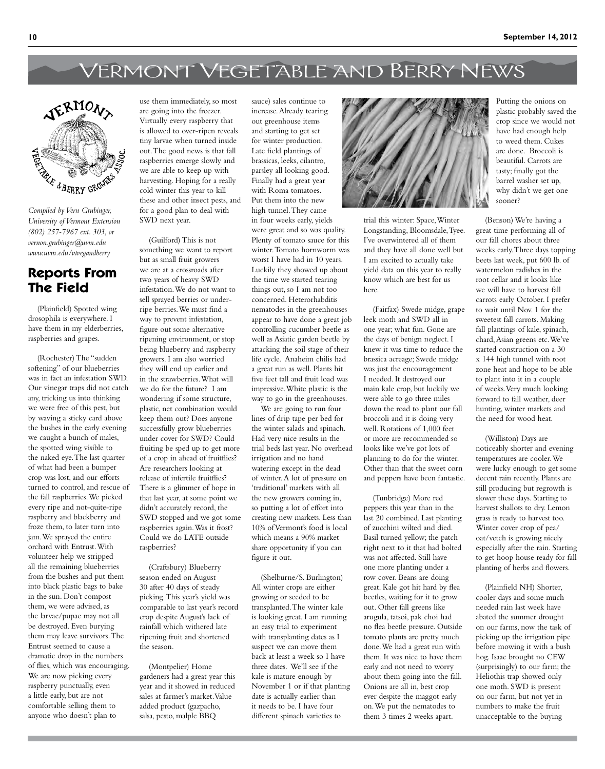## Vermont Vegetable and Berry News



*University of Vermont Extension (802) 257-7967 ext. 303, or vernon.grubinger@uvm.edu [www.uvm.edu/vtvegandberry](www.uvm.edu/vtvegandberry )* 

### **Reports From The Field**

(Plainfield) Spotted wing drosophila is everywhere. I have them in my elderberries, raspberries and grapes.

(Rochester) The "sudden softening" of our blueberries was in fact an infestation SWD. Our vinegar traps did not catch any, tricking us into thinking we were free of this pest, but by waving a sticky card above the bushes in the early evening we caught a bunch of males, the spotted wing visible to the naked eye. The last quarter of what had been a bumper crop was lost, and our efforts turned to control, and rescue of the fall raspberries. We picked every ripe and not-quite-ripe raspberry and blackberry and froze them, to later turn into jam. We sprayed the entire orchard with Entrust. With volunteer help we stripped all the remaining blueberries from the bushes and put them into black plastic bags to bake in the sun. Don't compost them, we were advised, as the larvae/pupae may not all be destroyed. Even burying them may leave survivors. The Entrust seemed to cause a dramatic drop in the numbers of flies, which was encouraging. We are now picking every raspberry punctually, even a little early, but are not comfortable selling them to anyone who doesn't plan to

use them immediately, so most are going into the freezer. Virtually every raspberry that is allowed to over-ripen reveals tiny larvae when turned inside out. The good news is that fall raspberries emerge slowly and we are able to keep up with harvesting. Hoping for a really cold winter this year to kill these and other insect pests, and for a good plan to deal with SWD next year.

(Guilford) This is not something we want to report but as small fruit growers we are at a crossroads after two years of heavy SWD infestation. We do not want to sell sprayed berries or underripe berries. We must find a way to prevent infestation, figure out some alternative ripening environment, or stop being blueberry and raspberry growers. I am also worried they will end up earlier and in the strawberries. What will we do for the future? I am wondering if some structure, plastic, net combination would keep them out? Does anyone successfully grow blueberries under cover for SWD? Could fruiting be sped up to get more of a crop in ahead of fruitflies? Are researchers looking at release of infertile fruitflies? There is a glimmer of hope in that last year, at some point we didn't accurately record, the SWD stopped and we got some raspberries again. Was it frost? Could we do LATE outside raspberries?

(Craftsbury) Blueberry season ended on August 30 after 40 days of steady picking. This year's yield was comparable to last year's record crop despite August's lack of rainfall which withered late ripening fruit and shortened the season.

(Montpelier) Home gardeners had a great year this year and it showed in reduced sales at farmer's market. Value added product (gazpacho, salsa, pesto, malple BBQ

sauce) sales continue to increase. Already tearing out greenhouse items and starting to get set for winter production. Late field plantings of brassicas, leeks, cilantro, parsley all looking good. Finally had a great year with Roma tomatoes. Put them into the new high tunnel. They came in four weeks early, yields were great and so was quality. Plenty of tomato sauce for this winter. Tomato hornworm was worst I have had in 10 years. Luckily they showed up about the time we started tearing things out, so I am not too concerned. Heterorhabditis nematodes in the greenhouses appear to have done a great job controlling cucumber beetle as well as Asiatic garden beetle by attacking the soil stage of their life cycle. Anaheim chilis had a great run as well. Plants hit five feet tall and fruit load was impressive. White plastic is the way to go in the greenhouses.

We are going to run four lines of drip tape per bed for the winter salads and spinach. Had very nice results in the trial beds last year. No overhead irrigation and no hand watering except in the dead of winter. A lot of pressure on 'traditional' markets with all the new growers coming in, so putting a lot of effort into creating new markets. Less than 10% of Vermont's food is local which means a 90% market share opportunity if you can figure it out.

(Shelburne/S. Burlington) All winter crops are either growing or seeded to be transplanted. The winter kale is looking great. I am running an easy trial to experiment with transplanting dates as I suspect we can move them back at least a week so I have three dates. We'll see if the kale is mature enough by November 1 or if that planting date is actually earlier than it needs to be. I have four different spinach varieties to



trial this winter: Space, Winter Longstanding, Bloomsdale, Tyee. I've overwintered all of them and they have all done well but I am excited to actually take yield data on this year to really know which are best for us here.

(Fairfax) Swede midge, grape leek moth and SWD all in one year; what fun. Gone are the days of benign neglect. I knew it was time to reduce the brassica acreage; Swede midge was just the encouragement I needed. It destroyed our main kale crop, but luckily we were able to go three miles down the road to plant our fall broccoli and it is doing very well. Rotations of 1,000 feet or more are recommended so looks like we've got lots of planning to do for the winter. Other than that the sweet corn and peppers have been fantastic.

(Tunbridge) More red peppers this year than in the last 20 combined. Last planting of zucchini wilted and died. Basil turned yellow; the patch right next to it that had bolted was not affected. Still have one more planting under a row cover. Beans are doing great. Kale got hit hard by flea beetles, waiting for it to grow out. Other fall greens like arugula, tatsoi, pak choi had no flea beetle pressure. Outside tomato plants are pretty much done. We had a great run with them. It was nice to have them early and not need to worry about them going into the fall. Onions are all in, best crop ever despite the maggot early on. We put the nematodes to them 3 times 2 weeks apart.

Putting the onions on plastic probably saved the crop since we would not have had enough help to weed them. Cukes are done. Broccoli is beautiful. Carrots are tasty; finally got the barrel washer set up, why didn't we get one sooner?

(Benson) We're having a great time performing all of our fall chores about three weeks early. Three days topping beets last week, put 600 lb. of watermelon radishes in the root cellar and it looks like we will have to harvest fall carrots early October. I prefer to wait until Nov. 1 for the sweetest fall carrots. Making fall plantings of kale, spinach, chard, Asian greens etc. We've started construction on a 30 x 144 high tunnel with root zone heat and hope to be able to plant into it in a couple of weeks. Very much looking forward to fall weather, deer hunting, winter markets and the need for wood heat.

(Williston) Days are noticeably shorter and evening temperatures are cooler. We were lucky enough to get some decent rain recently. Plants are still producing but regrowth is slower these days. Starting to harvest shallots to dry. Lemon grass is ready to harvest too. Winter cover crop of pea/ oat/vetch is growing nicely especially after the rain. Starting to get hoop house ready for fall planting of herbs and flowers.

(Plainfield NH) Shorter, cooler days and some much needed rain last week have abated the summer drought on our farms, now the task of picking up the irrigation pipe before mowing it with a bush hog. Isaac brought no CEW (surprisingly) to our farm; the Heliothis trap showed only one moth. SWD is present on our farm, but not yet in numbers to make the fruit unacceptable to the buying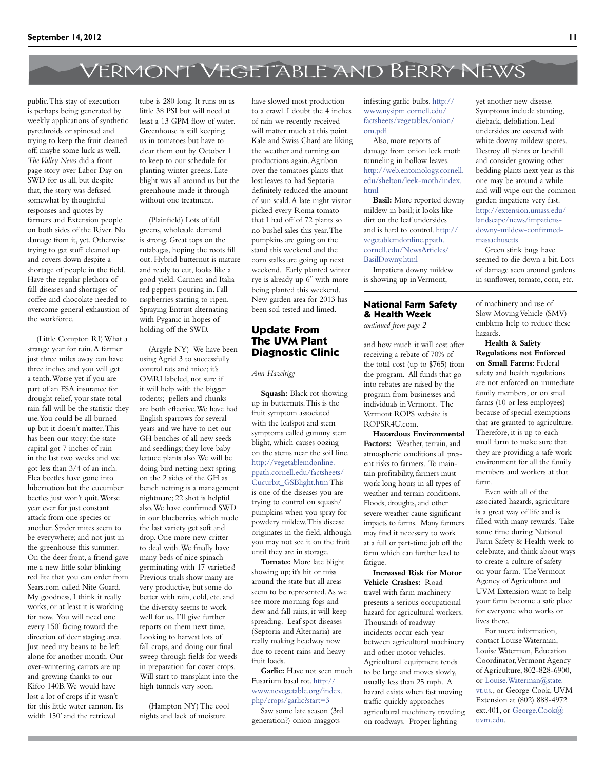# Vermont Vegetable and Berry News

public. This stay of execution is perhaps being generated by weekly applications of synthetic pyrethroids or spinosad and trying to keep the fruit cleaned off; maybe some luck as well. *The Valley News* did a front page story over Labor Day on SWD for us all, but despite that, the story was defused somewhat by thoughtful responses and quotes by farmers and Extension people on both sides of the River. No damage from it, yet. Otherwise trying to get stuff cleaned up and covers down despite a shortage of people in the field. Have the regular plethora of fall diseases and shortages of coffee and chocolate needed to overcome general exhaustion of the workforce.

(Little Compton RI) What a strange year for rain. A farmer just three miles away can have three inches and you will get a tenth. Worse yet if you are part of an FSA insurance for drought relief, your state total rain fall will be the statistic they use. You could be all burned up but it doesn't matter. This has been our story: the state capital got 7 inches of rain in the last two weeks and we got less than 3/4 of an inch. Flea beetles have gone into hibernation but the cucumber beetles just won't quit. Worse year ever for just constant attack from one species or another. Spider mites seem to be everywhere; and not just in the greenhouse this summer. On the deer front, a friend gave me a new little solar blinking red lite that you can order from Sears.com called Nite Guard. My goodness, I think it really works, or at least it is working for now. You will need one every 150' facing toward the direction of deer staging area. Just need my beans to be left alone for another month. Our over-wintering carrots are up and growing thanks to our Kifco 140B. We would have lost a lot of crops if it wasn't for this little water cannon. Its width 150' and the retrieval

tube is 280 long. It runs on as little 38 PSI but will need at least a 13 GPM flow of water. Greenhouse is still keeping us in tomatoes but have to clear them out by October 1 to keep to our schedule for planting winter greens. Late blight was all around us but the greenhouse made it through without one treatment.

(Plainfield) Lots of fall greens, wholesale demand is strong. Great tops on the rutabagas, hoping the roots fill out. Hybrid butternut is mature and ready to cut, looks like a good yield. Carmen and Italia red peppers pouring in. Fall raspberries starting to ripen. Spraying Entrust alternating with Pyganic in hopes of holding off the SWD.

(Argyle NY) We have been using Agrid 3 to successfully control rats and mice; it's OMRI labeled, not sure if it will help with the bigger rodents; pellets and chunks are both effective. We have had English sparrows for several years and we have to net our GH benches of all new seeds and seedlings; they love baby lettuce plants also. We will be doing bird netting next spring on the 2 sides of the GH as bench netting is a management nightmare; 22 shot is helpful also. We have confirmed SWD in our blueberries which made the last variety get soft and drop. One more new critter to deal with. We finally have many beds of nice spinach germinating with 17 varieties! Previous trials show many are very productive, but some do better with rain, cold, etc. and the diversity seems to work well for us. I'll give further reports on them next time. Looking to harvest lots of fall crops, and doing our final sweep through fields for weeds in preparation for cover crops. Will start to transplant into the high tunnels very soon.

(Hampton NY) The cool nights and lack of moisture

have slowed most production to a crawl. I doubt the 4 inches of rain we recently received will matter much at this point. Kale and Swiss Chard are liking the weather and turning on productions again. Agribon over the tomatoes plants that lost leaves to had Septoria definitely reduced the amount of sun scald. A late night visitor picked every Roma tomato that I had off of 72 plants so no bushel sales this year. The pumpkins are going on the stand this weekend and the corn stalks are going up next weekend. Early planted winter rye is already up 6" with more being planted this weekend. New garden area for 2013 has been soil tested and limed.

### **Update From The UVM Plant Diagnostic Clinic**

#### *Ann Hazelrigg*

**Squash:** Black rot showing up in butternuts. This is the fruit symptom associated with the leafspot and stem symptoms called gummy stem blight, which causes oozing on the stems near the soil line. [http://vegetablemdonline.](http://vegetablemdonline.ppath.cornell.edu/factsheets/Cucurbit_GSBlight.htm) [ppath.cornell.edu/factsheets/](http://vegetablemdonline.ppath.cornell.edu/factsheets/Cucurbit_GSBlight.htm) [Cucurbit\\_GSBlight.htm](http://vegetablemdonline.ppath.cornell.edu/factsheets/Cucurbit_GSBlight.htm) This is one of the diseases you are trying to control on squash/ pumpkins when you spray for powdery mildew. This disease originates in the field, although you may not see it on the fruit until they are in storage.

**Tomato:** More late blight showing up; it's hit or miss around the state but all areas seem to be represented. As we see more morning fogs and dew and fall rains, it will keep spreading. Leaf spot diseases (Septoria and Alternaria) are really making headway now due to recent rains and heavy fruit loads.

**Garlic:** Have not seen much Fusarium basal rot. [http://](http://www.nevegetable.org/index.php/crops/garlic?start=3) [www.nevegetable.org/index.](http://www.nevegetable.org/index.php/crops/garlic?start=3) [php/crops/garlic?start=3](http://www.nevegetable.org/index.php/crops/garlic?start=3)

Saw some late season (3rd generation?) onion maggots

infesting garlic bulbs. [http://](http://www.nysipm.cornell.edu/factsheets/vegetables/onion/om.pdf) [www.nysipm.cornell.edu/](http://www.nysipm.cornell.edu/factsheets/vegetables/onion/om.pdf) [factsheets/vegetables/onion/](http://www.nysipm.cornell.edu/factsheets/vegetables/onion/om.pdf) [om.pdf](http://www.nysipm.cornell.edu/factsheets/vegetables/onion/om.pdf)

Also, more reports of damage from onion leek moth tunneling in hollow leaves. [http://web.entomology.cornell.](http://web.entomology.cornell.edu/shelton/leek-moth/index.html) [edu/shelton/leek-moth/index.](http://web.entomology.cornell.edu/shelton/leek-moth/index.html) [html](http://web.entomology.cornell.edu/shelton/leek-moth/index.html)

**Basil:** More reported downy mildew in basil; it looks like dirt on the leaf undersides and is hard to control. [http://](http://vegetablemdonline.ppath.cornell.edu/NewsArticles/BasilDowny.html) [vegetablemdonline.ppath.](http://vegetablemdonline.ppath.cornell.edu/NewsArticles/BasilDowny.html) [cornell.edu/NewsArticles/](http://vegetablemdonline.ppath.cornell.edu/NewsArticles/BasilDowny.html) [BasilDowny.html](http://vegetablemdonline.ppath.cornell.edu/NewsArticles/BasilDowny.html)

Impatiens downy mildew is showing up in Vermont,

### **National Farm Safety & Health Week**

*continued from page 2*

and how much it will cost after receiving a rebate of 70% of the total cost (up to \$765) from the program. All funds that go into rebates are raised by the program from businesses and individuals in Vermont. The Vermont ROPS website is ROPSR4U.com.

**Hazardous Environmental Factors:** Weather, terrain, and atmospheric conditions all present risks to farmers. To maintain profitability, farmers must work long hours in all types of weather and terrain conditions. Floods, droughts, and other severe weather cause significant impacts to farms. Many farmers may find it necessary to work at a full or part-time job off the farm which can further lead to fatigue.

**Increased Risk for Motor Vehicle Crashes:** Road travel with farm machinery presents a serious occupational hazard for agricultural workers. Thousands of roadway incidents occur each year between agricultural machinery and other motor vehicles. Agricultural equipment tends to be large and moves slowly, usually less than 25 mph. A hazard exists when fast moving traffic quickly approaches agricultural machinery traveling on roadways. Proper lighting

yet another new disease. Symptoms include stunting, dieback, defoliation. Leaf undersides are covered with white downy mildew spores. Destroy all plants or landfill and consider growing other bedding plants next year as this one may be around a while and will wipe out the common garden impatiens very fast. [http://extension.umass.edu/](http://extension.umass.edu/landscape/news/impatiens-downy-mildew-confirmed-massachusetts) [landscape/news/impatiens](http://extension.umass.edu/landscape/news/impatiens-downy-mildew-confirmed-massachusetts)[downy-mildew-confirmed](http://extension.umass.edu/landscape/news/impatiens-downy-mildew-confirmed-massachusetts)[massachusetts](http://extension.umass.edu/landscape/news/impatiens-downy-mildew-confirmed-massachusetts)

Green stink bugs have seemed to die down a bit. Lots of damage seen around gardens in sunflower, tomato, corn, etc.

of machinery and use of Slow Moving Vehicle (SMV) emblems help to reduce these hazards.

**Health & Safety Regulations not Enforced on Small Farms:** Federal safety and health regulations are not enforced on immediate family members, or on small farms (10 or less employees) because of special exemptions that are granted to agriculture. Therefore, it is up to each small farm to make sure that they are providing a safe work environment for all the family members and workers at that farm.

Even with all of the associated hazards, agriculture is a great way of life and is filled with many rewards. Take some time during National Farm Safety & Health week to celebrate, and think about ways to create a culture of safety on your farm. The Vermont Agency of Agriculture and UVM Extension want to help your farm become a safe place for everyone who works or lives there.

For more information, contact Louise Waterman, Louise Waterman, Education Coordinator, Vermont Agency of Agriculture, 802-828-6900, or Louise. Waterman@state. [vt.us.](mailto:Louise.Waterman%40state.vt.us?subject=), or George Cook, UVM Extension at (802) 888-4972 ext.401, or [George.Cook@](mailto:George.Cook%40uvm.edu?subject=) [uvm.edu.](mailto:George.Cook%40uvm.edu?subject=)